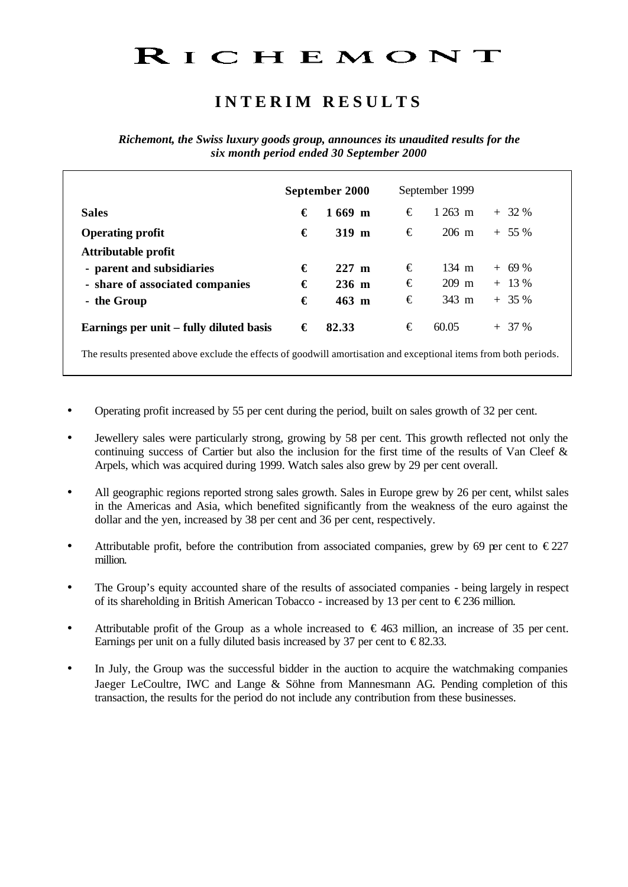# RICHEMONT

## **I N T E R I M R E S U L T S**

*Richemont, the Swiss luxury goods group, announces its unaudited results for the six month period ended 30 September 2000* 

| September 2000      |   | September 1999   |                                                                                                                   |
|---------------------|---|------------------|-------------------------------------------------------------------------------------------------------------------|
| $1669$ m            | € | $1263 \text{ m}$ | $+32%$                                                                                                            |
| $319 \; \mathrm{m}$ | € | $206 \text{ m}$  | $+ 55 \%$                                                                                                         |
|                     |   |                  |                                                                                                                   |
| $227$ m             | € | 134 m            | $+ 69\%$                                                                                                          |
| $236 \; m$          | € | 209 m            | $+ 13 \%$                                                                                                         |
| 463 m               | € | 343 m            | $+35%$                                                                                                            |
|                     | € | 60.05            | $+37%$                                                                                                            |
|                     |   |                  | The results presented above exclude the effects of goodwill amortisation and exceptional items from both periods. |

- Operating profit increased by 55 per cent during the period, built on sales growth of 32 per cent.
- Jewellery sales were particularly strong, growing by 58 per cent. This growth reflected not only the continuing success of Cartier but also the inclusion for the first time of the results of Van Cleef & Arpels, which was acquired during 1999. Watch sales also grew by 29 per cent overall.
- All geographic regions reported strong sales growth. Sales in Europe grew by 26 per cent, whilst sales in the Americas and Asia, which benefited significantly from the weakness of the euro against the dollar and the yen, increased by 38 per cent and 36 per cent, respectively.
- Attributable profit, before the contribution from associated companies, grew by 69 per cent to  $\epsilon$ 227 million.
- The Group's equity accounted share of the results of associated companies being largely in respect of its shareholding in British American Tobacco - increased by 13 per cent to  $\epsilon$ 236 million.
- Attributable profit of the Group as a whole increased to  $\epsilon$ 463 million, an increase of 35 per cent. Earnings per unit on a fully diluted basis increased by 37 per cent to  $\epsilon$ 82.33.
- In July, the Group was the successful bidder in the auction to acquire the watchmaking companies Jaeger LeCoultre, IWC and Lange & Söhne from Mannesmann AG. Pending completion of this transaction, the results for the period do not include any contribution from these businesses.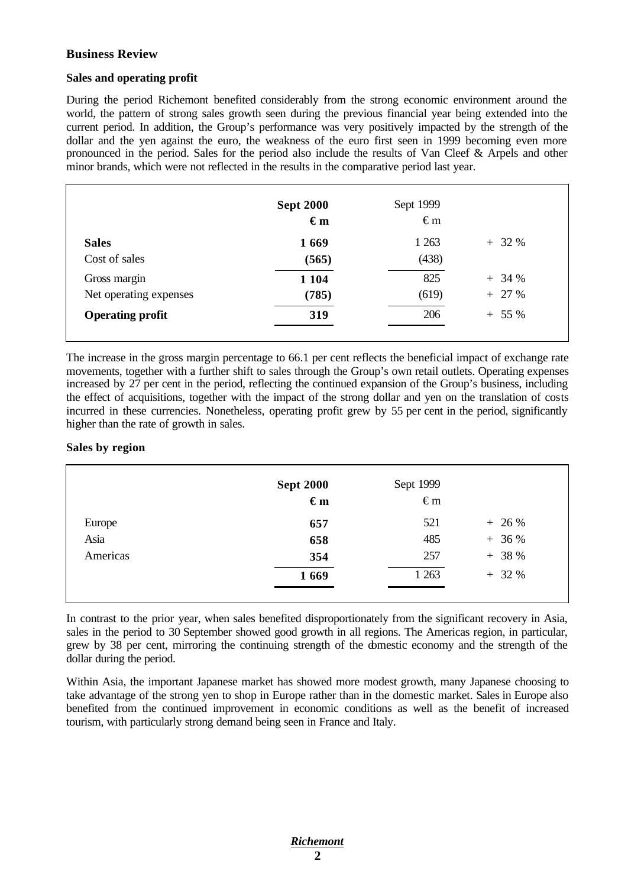#### **Business Review**

#### **Sales and operating profit**

During the period Richemont benefited considerably from the strong economic environment around the world, the pattern of strong sales growth seen during the previous financial year being extended into the current period. In addition, the Group's performance was very positively impacted by the strength of the dollar and the yen against the euro, the weakness of the euro first seen in 1999 becoming even more pronounced in the period. Sales for the period also include the results of Van Cleef & Arpels and other minor brands, which were not reflected in the results in the comparative period last year.

|                         | <b>Sept 2000</b><br>$\epsilon$ m | Sept 1999<br>$\epsilon$ m |           |
|-------------------------|----------------------------------|---------------------------|-----------|
| <b>Sales</b>            | 1669                             | 1 2 6 3                   | $+32%$    |
| Cost of sales           | (565)                            | (438)                     |           |
| Gross margin            | 1 1 0 4                          | 825                       | $+34%$    |
| Net operating expenses  | (785)                            | (619)                     | $+ 27 \%$ |
| <b>Operating profit</b> | 319                              | 206                       | $+ 55 \%$ |

The increase in the gross margin percentage to 66.1 per cent reflects the beneficial impact of exchange rate movements, together with a further shift to sales through the Group's own retail outlets. Operating expenses increased by 27 per cent in the period, reflecting the continued expansion of the Group's business, including the effect of acquisitions, together with the impact of the strong dollar and yen on the translation of costs incurred in these currencies. Nonetheless, operating profit grew by 55 per cent in the period, significantly higher than the rate of growth in sales.

#### **Sales by region**

|          | <b>Sept 2000</b><br>$\epsilon$ m | Sept 1999<br>$\infty$ |           |
|----------|----------------------------------|-----------------------|-----------|
| Europe   | 657                              | 521                   | $+ 26 %$  |
| Asia     | 658                              | 485                   | $+36%$    |
| Americas | 354                              | 257                   | $+ 38 \%$ |
|          | 1669                             | 1 2 6 3               | $+32%$    |
|          |                                  |                       |           |

In contrast to the prior year, when sales benefited disproportionately from the significant recovery in Asia, sales in the period to 30 September showed good growth in all regions. The Americas region, in particular, grew by 38 per cent, mirroring the continuing strength of the domestic economy and the strength of the dollar during the period.

Within Asia, the important Japanese market has showed more modest growth, many Japanese choosing to take advantage of the strong yen to shop in Europe rather than in the domestic market. Sales in Europe also benefited from the continued improvement in economic conditions as well as the benefit of increased tourism, with particularly strong demand being seen in France and Italy.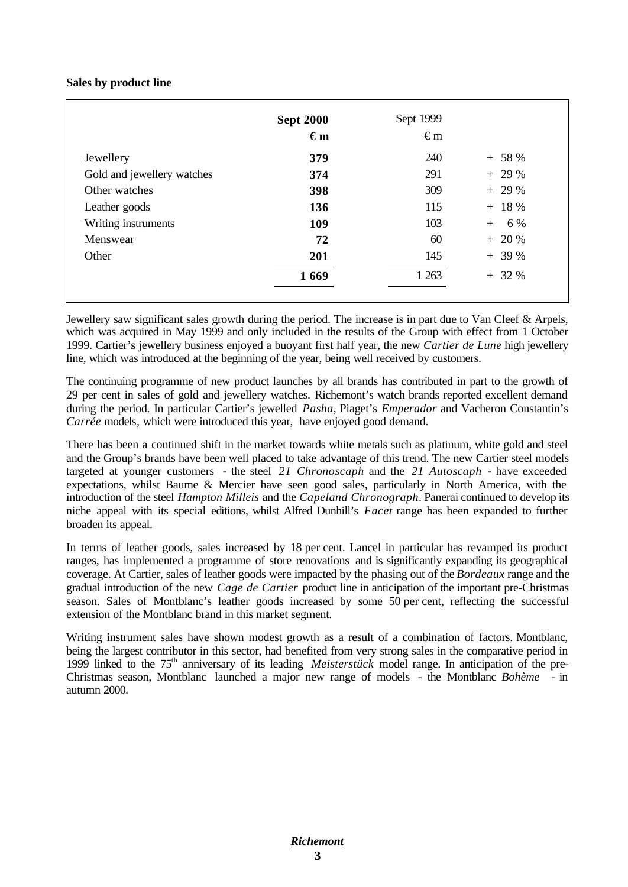#### **Sales by product line**

|                            | <b>Sept 2000</b><br>$\epsilon_{m}$ | Sept 1999<br>$\epsilon$ m |            |
|----------------------------|------------------------------------|---------------------------|------------|
| Jewellery                  | 379                                | 240                       | $+ 58 \%$  |
| Gold and jewellery watches | 374                                | 291                       | $+29%$     |
| Other watches              | 398                                | 309                       | $+29%$     |
| Leather goods              | 136                                | 115                       | $+ 18 \%$  |
| Writing instruments        | 109                                | 103                       | 6 %<br>$+$ |
| Menswear                   | 72                                 | 60                        | $+ 20 \%$  |
| Other                      | 201                                | 145                       | $+39%$     |
|                            | 1669                               | 1 2 6 3                   | $+32%$     |

Jewellery saw significant sales growth during the period. The increase is in part due to Van Cleef & Arpels, which was acquired in May 1999 and only included in the results of the Group with effect from 1 October 1999. Cartier's jewellery business enjoyed a buoyant first half year, the new *Cartier de Lune* high jewellery line, which was introduced at the beginning of the year, being well received by customers.

The continuing programme of new product launches by all brands has contributed in part to the growth of 29 per cent in sales of gold and jewellery watches. Richemont's watch brands reported excellent demand during the period. In particular Cartier's jewelled *Pasha*, Piaget's *Emperador* and Vacheron Constantin's *Carrée* models*,* which were introduced this year, have enjoyed good demand.

There has been a continued shift in the market towards white metals such as platinum, white gold and steel and the Group's brands have been well placed to take advantage of this trend. The new Cartier steel models targeted at younger customers **-** the steel *21 Chronoscaph* and the *21 Autoscaph* **-** have exceeded expectations, whilst Baume & Mercier have seen good sales, particularly in North America, with the introduction of the steel *Hampton Milleis* and the *Capeland Chronograph*. Panerai continued to develop its niche appeal with its special editions, whilst Alfred Dunhill's *Facet* range has been expanded to further broaden its appeal.

In terms of leather goods, sales increased by 18 per cent. Lancel in particular has revamped its product ranges, has implemented a programme of store renovations and is significantly expanding its geographical coverage. At Cartier, sales of leather goods were impacted by the phasing out of the *Bordeaux* range and the gradual introduction of the new *Cage de Cartier* product line in anticipation of the important pre-Christmas season. Sales of Montblanc's leather goods increased by some 50 per cent, reflecting the successful extension of the Montblanc brand in this market segment.

Writing instrument sales have shown modest growth as a result of a combination of factors. Montblanc, being the largest contributor in this sector, had benefited from very strong sales in the comparative period in 1999 linked to the 75th anniversary of its leading *Meisterstück* model range. In anticipation of the pre-Christmas season, Montblanc launched a major new range of models - the Montblanc *Bohème* - in autumn 2000.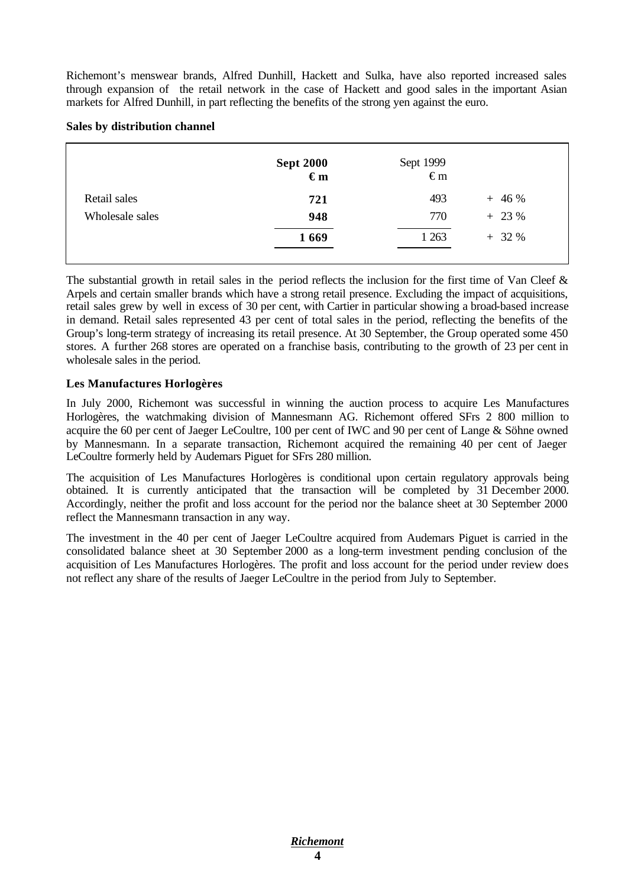Richemont's menswear brands, Alfred Dunhill, Hackett and Sulka, have also reported increased sales through expansion of the retail network in the case of Hackett and good sales in the important Asian markets for Alfred Dunhill, in part reflecting the benefits of the strong yen against the euro.

#### **Sales by distribution channel**

|                 | Sept 2000<br>$\begin{array}{c} \in m \\ \in m \end{array}$ | Sept 1999<br>$\epsilon$ m |           |
|-----------------|------------------------------------------------------------|---------------------------|-----------|
| Retail sales    | 721                                                        | 493                       | $+46%$    |
| Wholesale sales | 948                                                        | 770                       | $+ 23 \%$ |
|                 | 1669                                                       | 1 2 6 3                   | $+32%$    |

The substantial growth in retail sales in the period reflects the inclusion for the first time of Van Cleef  $\&$ Arpels and certain smaller brands which have a strong retail presence. Excluding the impact of acquisitions, retail sales grew by well in excess of 30 per cent, with Cartier in particular showing a broad-based increase in demand. Retail sales represented 43 per cent of total sales in the period, reflecting the benefits of the Group's long-term strategy of increasing its retail presence. At 30 September, the Group operated some 450 stores. A further 268 stores are operated on a franchise basis, contributing to the growth of 23 per cent in wholesale sales in the period.

#### **Les Manufactures Horlogères**

In July 2000, Richemont was successful in winning the auction process to acquire Les Manufactures Horlogères, the watchmaking division of Mannesmann AG. Richemont offered SFrs 2 800 million to acquire the 60 per cent of Jaeger LeCoultre, 100 per cent of IWC and 90 per cent of Lange & Söhne owned by Mannesmann. In a separate transaction, Richemont acquired the remaining 40 per cent of Jaeger LeCoultre formerly held by Audemars Piguet for SFrs 280 million.

The acquisition of Les Manufactures Horlogères is conditional upon certain regulatory approvals being obtained. It is currently anticipated that the transaction will be completed by 31 December 2000. Accordingly, neither the profit and loss account for the period nor the balance sheet at 30 September 2000 reflect the Mannesmann transaction in any way.

The investment in the 40 per cent of Jaeger LeCoultre acquired from Audemars Piguet is carried in the consolidated balance sheet at 30 September 2000 as a long-term investment pending conclusion of the acquisition of Les Manufactures Horlogères. The profit and loss account for the period under review does not reflect any share of the results of Jaeger LeCoultre in the period from July to September.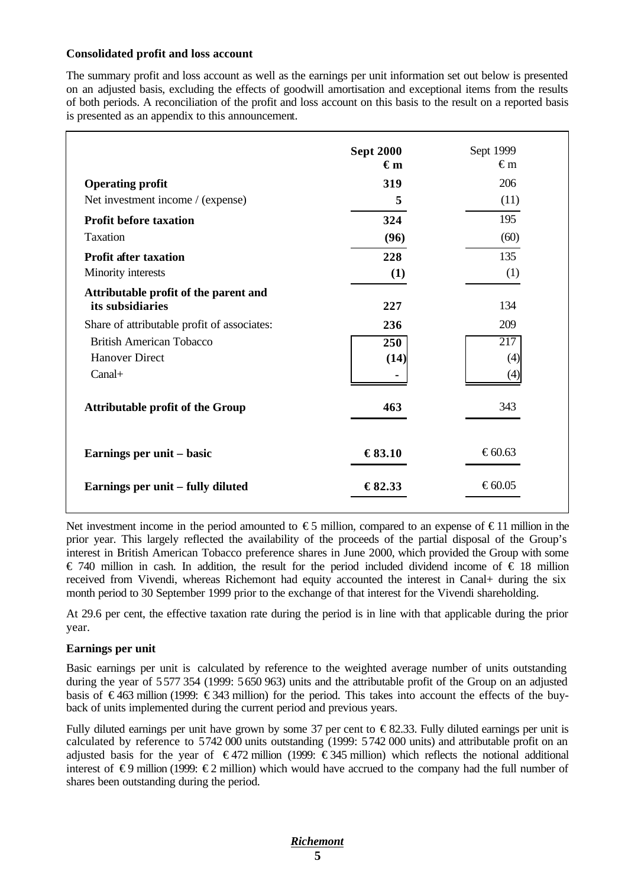#### **Consolidated profit and loss account**

The summary profit and loss account as well as the earnings per unit information set out below is presented on an adjusted basis, excluding the effects of goodwill amortisation and exceptional items from the results of both periods. A reconciliation of the profit and loss account on this basis to the result on a reported basis is presented as an appendix to this announcement.

|                                                           | <b>Sept 2000</b><br>$\epsilon_{m}$ | Sept 1999<br>$\epsilon$ m |
|-----------------------------------------------------------|------------------------------------|---------------------------|
| <b>Operating profit</b>                                   | 319                                | 206                       |
| Net investment income / (expense)                         | 5                                  | (11)                      |
| <b>Profit before taxation</b>                             | 324                                | 195                       |
| <b>Taxation</b>                                           | (96)                               | (60)                      |
| <b>Profit after taxation</b>                              | 228                                | 135                       |
| Minority interests                                        | (1)                                | (1)                       |
| Attributable profit of the parent and<br>its subsidiaries | 227                                | 134                       |
| Share of attributable profit of associates:               | 236                                | 209                       |
| <b>British American Tobacco</b>                           | 250                                | 217                       |
| <b>Hanover Direct</b>                                     | (14)                               | (4)                       |
| $Canal+$                                                  |                                    | (4)                       |
| <b>Attributable profit of the Group</b>                   | 463                                | 343                       |
| Earnings per unit – basic                                 | €83.10                             | €60.63                    |
| Earnings per unit – fully diluted                         | €82.33                             | € $60.05$                 |

Net investment income in the period amounted to  $\epsilon$ 5 million, compared to an expense of  $\epsilon$ 11 million in the prior year. This largely reflected the availability of the proceeds of the partial disposal of the Group's interest in British American Tobacco preference shares in June 2000, which provided the Group with some € 740 million in cash. In addition, the result for the period included dividend income of € 18 million received from Vivendi, whereas Richemont had equity accounted the interest in Canal+ during the six month period to 30 September 1999 prior to the exchange of that interest for the Vivendi shareholding.

At 29.6 per cent, the effective taxation rate during the period is in line with that applicable during the prior year.

#### **Earnings per unit**

Basic earnings per unit is calculated by reference to the weighted average number of units outstanding during the year of 5577 354 (1999: 5650 963) units and the attributable profit of the Group on an adjusted basis of  $\in$ 463 million (1999:  $\in$ 343 million) for the period. This takes into account the effects of the buyback of units implemented during the current period and previous years.

Fully diluted earnings per unit have grown by some 37 per cent to  $\epsilon$ 82.33. Fully diluted earnings per unit is calculated by reference to 5742 000 units outstanding (1999: 5742 000 units) and attributable profit on an adjusted basis for the year of  $\epsilon$ 472 million (1999:  $\epsilon$ 345 million) which reflects the notional additional interest of  $\epsilon$ 9 million (1999:  $\epsilon$ 2 million) which would have accrued to the company had the full number of shares been outstanding during the period.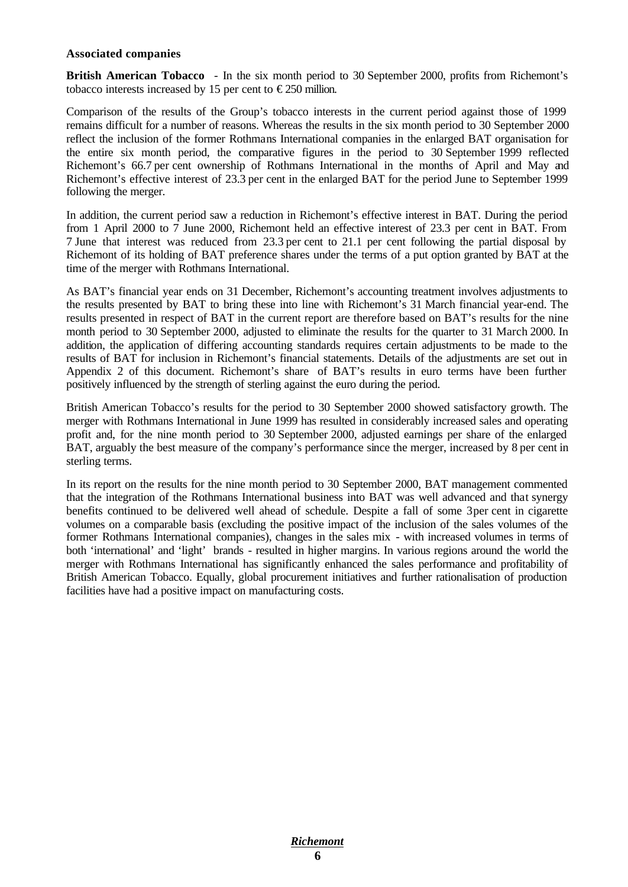#### **Associated companies**

**British American Tobacco** - In the six month period to 30 September 2000, profits from Richemont's tobacco interests increased by 15 per cent to  $\epsilon$ 250 million.

Comparison of the results of the Group's tobacco interests in the current period against those of 1999 remains difficult for a number of reasons. Whereas the results in the six month period to 30 September 2000 reflect the inclusion of the former Rothmans International companies in the enlarged BAT organisation for the entire six month period, the comparative figures in the period to 30 September 1999 reflected Richemont's 66.7 per cent ownership of Rothmans International in the months of April and May and Richemont's effective interest of 23.3 per cent in the enlarged BAT for the period June to September 1999 following the merger.

In addition, the current period saw a reduction in Richemont's effective interest in BAT. During the period from 1 April 2000 to 7 June 2000, Richemont held an effective interest of 23.3 per cent in BAT. From 7 June that interest was reduced from 23.3 per cent to 21.1 per cent following the partial disposal by Richemont of its holding of BAT preference shares under the terms of a put option granted by BAT at the time of the merger with Rothmans International.

As BAT's financial year ends on 31 December, Richemont's accounting treatment involves adjustments to the results presented by BAT to bring these into line with Richemont's 31 March financial year-end. The results presented in respect of BAT in the current report are therefore based on BAT's results for the nine month period to 30 September 2000, adjusted to eliminate the results for the quarter to 31 March 2000. In addition, the application of differing accounting standards requires certain adjustments to be made to the results of BAT for inclusion in Richemont's financial statements. Details of the adjustments are set out in Appendix 2 of this document. Richemont's share of BAT's results in euro terms have been further positively influenced by the strength of sterling against the euro during the period.

British American Tobacco's results for the period to 30 September 2000 showed satisfactory growth. The merger with Rothmans International in June 1999 has resulted in considerably increased sales and operating profit and, for the nine month period to 30 September 2000, adjusted earnings per share of the enlarged BAT, arguably the best measure of the company's performance since the merger, increased by 8 per cent in sterling terms.

In its report on the results for the nine month period to 30 September 2000, BAT management commented that the integration of the Rothmans International business into BAT was well advanced and that synergy benefits continued to be delivered well ahead of schedule. Despite a fall of some 3per cent in cigarette volumes on a comparable basis (excluding the positive impact of the inclusion of the sales volumes of the former Rothmans International companies), changes in the sales mix - with increased volumes in terms of both 'international' and 'light' brands - resulted in higher margins. In various regions around the world the merger with Rothmans International has significantly enhanced the sales performance and profitability of British American Tobacco. Equally, global procurement initiatives and further rationalisation of production facilities have had a positive impact on manufacturing costs.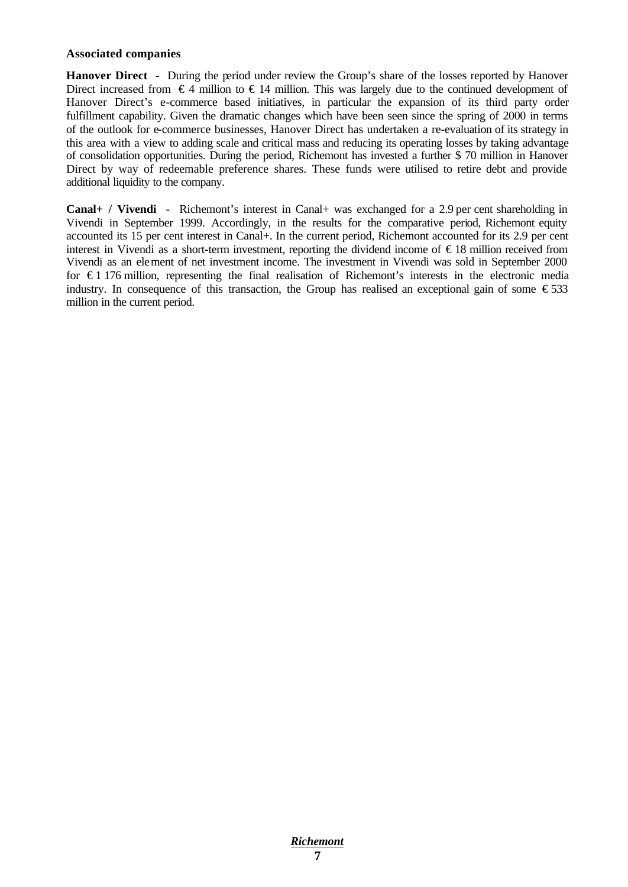#### **Associated companies**

**Hanover Direct** - During the period under review the Group's share of the losses reported by Hanover Direct increased from  $\epsilon$ 4 million to  $\epsilon$ 14 million. This was largely due to the continued development of Hanover Direct's e-commerce based initiatives, in particular the expansion of its third party order fulfillment capability. Given the dramatic changes which have been seen since the spring of 2000 in terms of the outlook for e-commerce businesses, Hanover Direct has undertaken a re-evaluation of its strategy in this area with a view to adding scale and critical mass and reducing its operating losses by taking advantage of consolidation opportunities. During the period, Richemont has invested a further \$ 70 million in Hanover Direct by way of redeemable preference shares. These funds were utilised to retire debt and provide additional liquidity to the company.

**Canal+ / Vivendi** - Richemont's interest in Canal+ was exchanged for a 2.9 per cent shareholding in Vivendi in September 1999. Accordingly, in the results for the comparative period, Richemont equity accounted its 15 per cent interest in Canal+. In the current period, Richemont accounted for its 2.9 per cent interest in Vivendi as a short-term investment, reporting the dividend income of € 18 million received from Vivendi as an element of net investment income. The investment in Vivendi was sold in September 2000 for  $\epsilon$ 1 176 million, representing the final realisation of Richemont's interests in the electronic media industry. In consequence of this transaction, the Group has realised an exceptional gain of some  $\epsilon$ 533 million in the current period.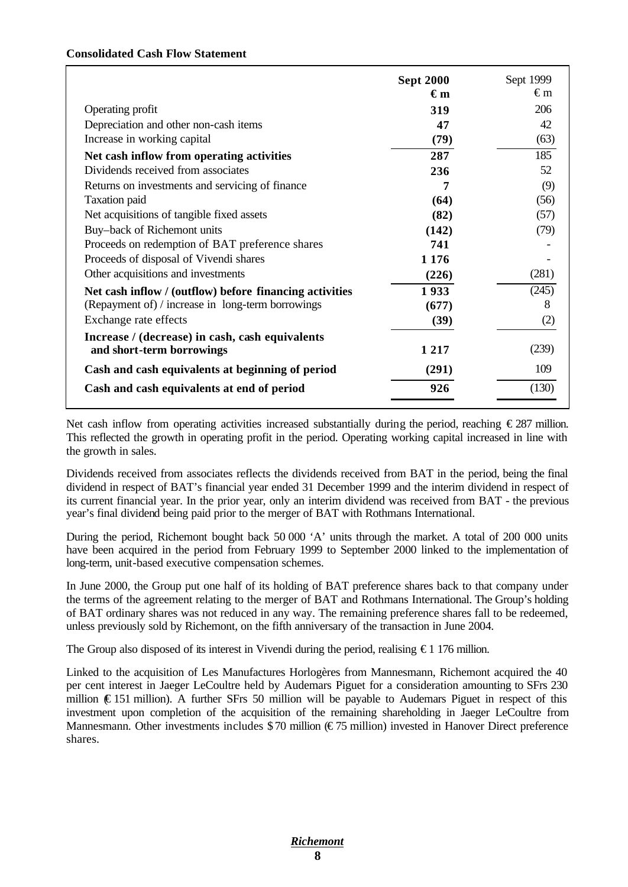#### **Consolidated Cash Flow Statement**

|                                                         | <b>Sept 2000</b> | Sept 1999 |
|---------------------------------------------------------|------------------|-----------|
|                                                         | $\epsilon_{m}$   | €m        |
| Operating profit                                        | 319              | 206       |
| Depreciation and other non-cash items                   | 47               | 42        |
| Increase in working capital                             | (79)             | (63)      |
| Net cash inflow from operating activities               | 287              | 185       |
| Dividends received from associates                      | 236              | 52        |
| Returns on investments and servicing of finance         | 7                | (9)       |
| <b>Taxation</b> paid                                    | (64)             | (56)      |
| Net acquisitions of tangible fixed assets               | (82)             | (57)      |
| Buy-back of Richemont units                             | (142)            | (79)      |
| Proceeds on redemption of BAT preference shares         | 741              |           |
| Proceeds of disposal of Vivendi shares                  | 1 1 7 6          |           |
| Other acquisitions and investments                      | (226)            | (281)     |
| Net cash inflow / (outflow) before financing activities | 1933             | (245)     |
| (Repayment of) / increase in long-term borrowings       | (677)            | 8         |
| Exchange rate effects                                   | (39)             | (2)       |
| Increase / (decrease) in cash, cash equivalents         |                  |           |
| and short-term borrowings                               | 1 2 1 7          | (239)     |
| Cash and cash equivalents at beginning of period        | (291)            | 109       |
| Cash and cash equivalents at end of period              | 926              | (130)     |
|                                                         |                  |           |

Net cash inflow from operating activities increased substantially during the period, reaching €287 million. This reflected the growth in operating profit in the period. Operating working capital increased in line with the growth in sales.

Dividends received from associates reflects the dividends received from BAT in the period, being the final dividend in respect of BAT's financial year ended 31 December 1999 and the interim dividend in respect of its current financial year. In the prior year, only an interim dividend was received from BAT - the previous year's final dividend being paid prior to the merger of BAT with Rothmans International.

During the period, Richemont bought back 50 000 'A' units through the market. A total of 200 000 units have been acquired in the period from February 1999 to September 2000 linked to the implementation of long-term, unit-based executive compensation schemes.

In June 2000, the Group put one half of its holding of BAT preference shares back to that company under the terms of the agreement relating to the merger of BAT and Rothmans International. The Group's holding of BAT ordinary shares was not reduced in any way. The remaining preference shares fall to be redeemed, unless previously sold by Richemont, on the fifth anniversary of the transaction in June 2004.

The Group also disposed of its interest in Vivendi during the period, realising  $\epsilon$  1.176 million.

Linked to the acquisition of Les Manufactures Horlogères from Mannesmann, Richemont acquired the 40 per cent interest in Jaeger LeCoultre held by Audemars Piguet for a consideration amounting to SFrs 230 million  $(E151 \text{ million})$ . A further SFrs 50 million will be payable to Audemars Piguet in respect of this investment upon completion of the acquisition of the remaining shareholding in Jaeger LeCoultre from Mannesmann. Other investments includes \$70 million (€75 million) invested in Hanover Direct preference shares.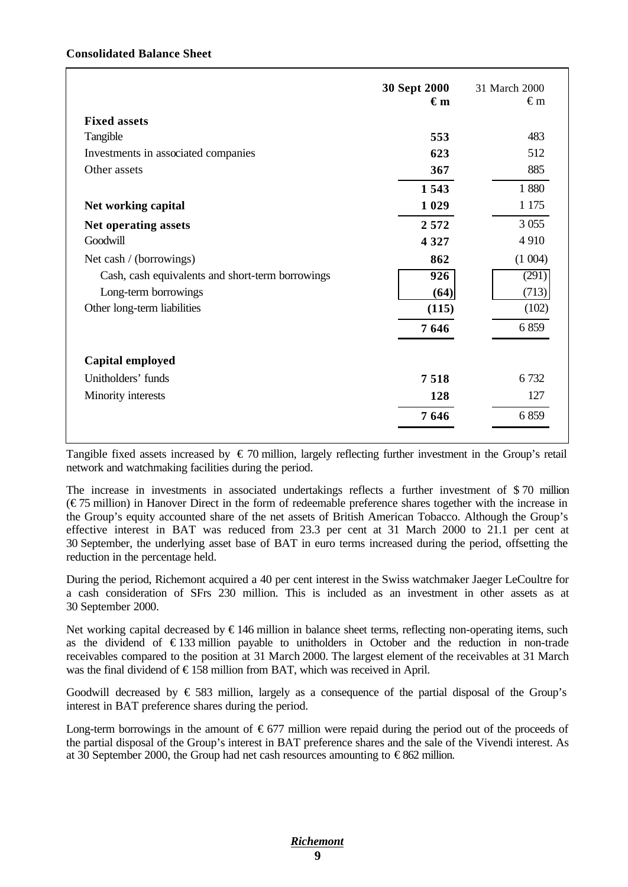#### **Consolidated Balance Sheet**

|                                                  | 30 Sept 2000<br>$\epsilon_{\rm m}$ | 31 March 2000<br>€m |
|--------------------------------------------------|------------------------------------|---------------------|
| <b>Fixed assets</b>                              |                                    |                     |
| Tangible                                         | 553                                | 483                 |
| Investments in associated companies              | 623                                | 512                 |
| Other assets                                     | 367                                | 885                 |
|                                                  | 1543                               | 1880                |
| Net working capital                              | 1 0 2 9                            | 1 1 7 5             |
| Net operating assets                             | 2572                               | 3 0 5 5             |
| Goodwill                                         | 4 3 2 7                            | 4910                |
| Net cash / (borrowings)                          | 862                                | (1004)              |
| Cash, cash equivalents and short-term borrowings | 926                                | (291)               |
| Long-term borrowings                             | (64)                               | (713)               |
| Other long-term liabilities                      | (115)                              | (102)               |
|                                                  | 7646                               | 6859                |
| Capital employed                                 |                                    |                     |
| Unitholders' funds                               | 7518                               | 6 7 3 2             |
| Minority interests                               | 128                                | 127                 |
|                                                  | 7646                               | 6859                |

Tangible fixed assets increased by  $\epsilon$  70 million, largely reflecting further investment in the Group's retail network and watchmaking facilities during the period.

The increase in investments in associated undertakings reflects a further investment of \$ 70 million  $(\text{\textsterling}75$  million) in Hanover Direct in the form of redeemable preference shares together with the increase in the Group's equity accounted share of the net assets of British American Tobacco. Although the Group's effective interest in BAT was reduced from 23.3 per cent at 31 March 2000 to 21.1 per cent at 30 September, the underlying asset base of BAT in euro terms increased during the period, offsetting the reduction in the percentage held.

During the period, Richemont acquired a 40 per cent interest in the Swiss watchmaker Jaeger LeCoultre for a cash consideration of SFrs 230 million. This is included as an investment in other assets as at 30 September 2000.

Net working capital decreased by €146 million in balance sheet terms, reflecting non-operating items, such as the dividend of  $\epsilon$ 133 million payable to unitholders in October and the reduction in non-trade receivables compared to the position at 31 March 2000. The largest element of the receivables at 31 March was the final dividend of €158 million from BAT, which was received in April.

Goodwill decreased by  $\epsilon$  583 million, largely as a consequence of the partial disposal of the Group's interest in BAT preference shares during the period.

Long-term borrowings in the amount of  $\epsilon$ 677 million were repaid during the period out of the proceeds of the partial disposal of the Group's interest in BAT preference shares and the sale of the Vivendi interest. As at 30 September 2000, the Group had net cash resources amounting to  $\epsilon$ 862 million.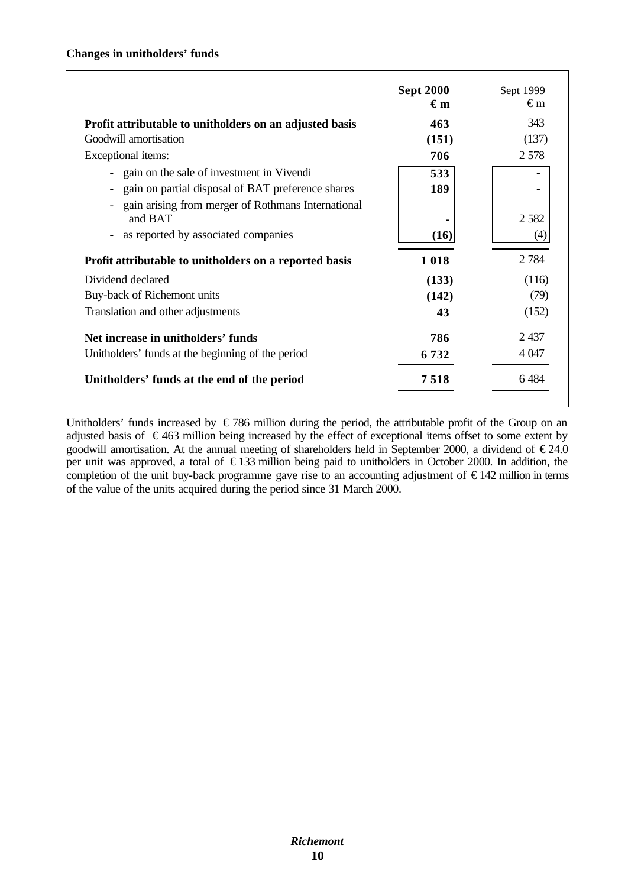|                                                                                                                                  | <b>Sept 2000</b><br>€m | Sept 1999<br>€m |
|----------------------------------------------------------------------------------------------------------------------------------|------------------------|-----------------|
| Profit attributable to unitholders on an adjusted basis                                                                          | 463                    | 343             |
| Goodwill amortisation                                                                                                            | (151)                  | (137)           |
| Exceptional items:                                                                                                               | 706                    | 2 5 7 8         |
| gain on the sale of investment in Vivendi                                                                                        | 533                    |                 |
| gain on partial disposal of BAT preference shares                                                                                | 189                    |                 |
| gain arising from merger of Rothmans International<br>and BAT<br>as reported by associated companies<br>$\overline{\phantom{a}}$ | (16)                   | 2 5 8 2<br>(4)  |
| Profit attributable to unitholders on a reported basis                                                                           | 1018                   | 2 7 8 4         |
| Dividend declared                                                                                                                | (133)                  | (116)           |
| Buy-back of Richemont units                                                                                                      | (142)                  | (79)            |
| Translation and other adjustments                                                                                                | 43                     | (152)           |
| Net increase in unitholders' funds                                                                                               | 786                    | 2437            |
| Unitholders' funds at the beginning of the period                                                                                | 6732                   | 4 0 4 7         |
| Unitholders' funds at the end of the period                                                                                      | 7518                   | 6484            |

Unitholders' funds increased by  $\epsilon$  786 million during the period, the attributable profit of the Group on an adjusted basis of  $\epsilon$ 463 million being increased by the effect of exceptional items offset to some extent by goodwill amortisation. At the annual meeting of shareholders held in September 2000, a dividend of  $\epsilon$ 24.0 per unit was approved, a total of € 133 million being paid to unitholders in October 2000. In addition, the completion of the unit buy-back programme gave rise to an accounting adjustment of € 142 million in terms of the value of the units acquired during the period since 31 March 2000.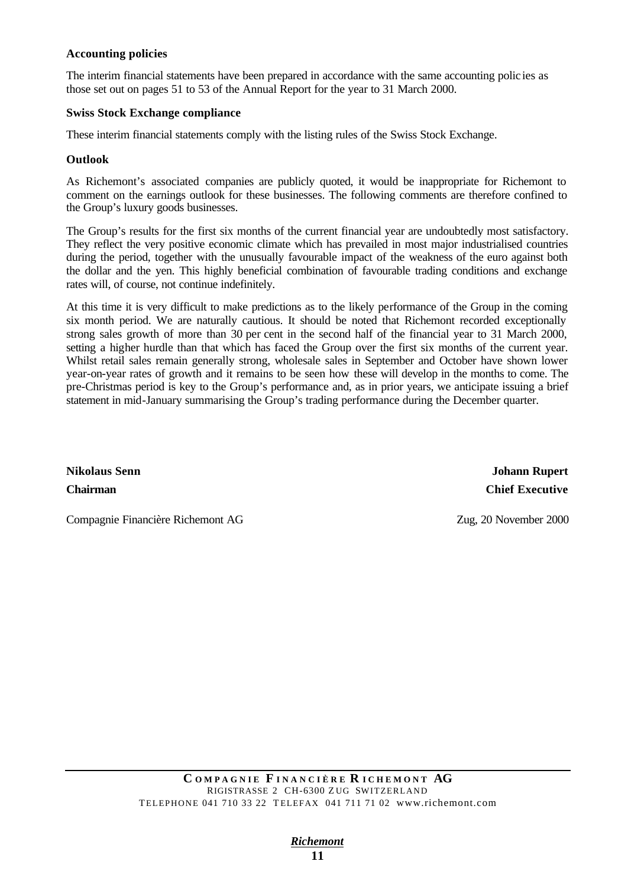#### **Accounting policies**

The interim financial statements have been prepared in accordance with the same accounting polic ies as those set out on pages 51 to 53 of the Annual Report for the year to 31 March 2000.

#### **Swiss Stock Exchange compliance**

These interim financial statements comply with the listing rules of the Swiss Stock Exchange.

#### **Outlook**

As Richemont's associated companies are publicly quoted, it would be inappropriate for Richemont to comment on the earnings outlook for these businesses. The following comments are therefore confined to the Group's luxury goods businesses.

The Group's results for the first six months of the current financial year are undoubtedly most satisfactory. They reflect the very positive economic climate which has prevailed in most major industrialised countries during the period, together with the unusually favourable impact of the weakness of the euro against both the dollar and the yen. This highly beneficial combination of favourable trading conditions and exchange rates will, of course, not continue indefinitely.

At this time it is very difficult to make predictions as to the likely performance of the Group in the coming six month period. We are naturally cautious. It should be noted that Richemont recorded exceptionally strong sales growth of more than 30 per cent in the second half of the financial year to 31 March 2000, setting a higher hurdle than that which has faced the Group over the first six months of the current year. Whilst retail sales remain generally strong, wholesale sales in September and October have shown lower year-on-year rates of growth and it remains to be seen how these will develop in the months to come. The pre-Christmas period is key to the Group's performance and, as in prior years, we anticipate issuing a brief statement in mid-January summarising the Group's trading performance during the December quarter.

**Nikolaus Senn Johann Rupert Chairman Chief Executive**

Compagnie Financière Richemont AG Zug, 20 November 2000

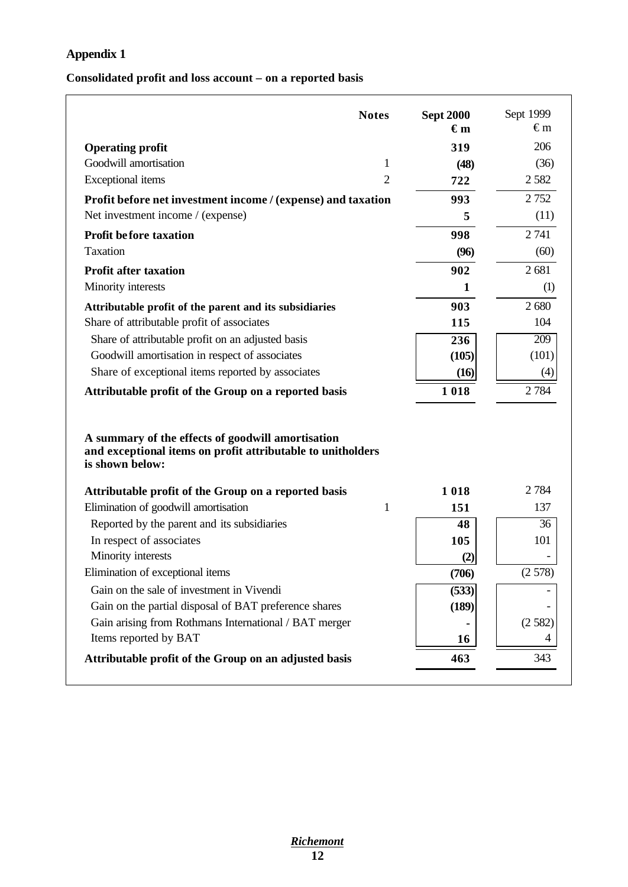# **Appendix 1**

### **Consolidated profit and loss account – on a reported basis**

| <b>Notes</b>                                                                                                                        |                | <b>Sept 2000</b><br>$\epsilon_{m}$ | Sept 1999<br>€m |
|-------------------------------------------------------------------------------------------------------------------------------------|----------------|------------------------------------|-----------------|
| <b>Operating profit</b>                                                                                                             |                | 319                                | 206             |
| Goodwill amortisation                                                                                                               | 1              | (48)                               | (36)            |
| <b>Exceptional</b> items                                                                                                            | $\overline{2}$ | 722                                | 2 5 8 2         |
| Profit before net investment income / (expense) and taxation                                                                        |                | 993                                | 2 7 5 2         |
| Net investment income / (expense)                                                                                                   |                | 5                                  | (11)            |
| <b>Profit before taxation</b>                                                                                                       |                | 998                                | 2 741           |
| Taxation                                                                                                                            |                | (96)                               | (60)            |
| <b>Profit after taxation</b>                                                                                                        |                | 902                                | 2681            |
| Minority interests                                                                                                                  |                | $\mathbf{1}$                       | (1)             |
| Attributable profit of the parent and its subsidiaries                                                                              |                | 903                                | 2680            |
| Share of attributable profit of associates                                                                                          |                | 115                                | 104             |
| Share of attributable profit on an adjusted basis                                                                                   |                | 236                                | 209             |
| Goodwill amortisation in respect of associates                                                                                      |                | (105)                              | (101)           |
| Share of exceptional items reported by associates                                                                                   |                | (16)                               | (4)             |
| Attributable profit of the Group on a reported basis                                                                                |                | 1018                               | 2 7 8 4         |
| A summary of the effects of goodwill amortisation<br>and exceptional items on profit attributable to unitholders<br>is shown below: |                |                                    |                 |
| Attributable profit of the Group on a reported basis                                                                                |                | 1018                               | 2 7 8 4         |
| Elimination of goodwill amortisation                                                                                                | $\mathbf{1}$   | 151                                | 137             |
| Reported by the parent and its subsidiaries                                                                                         |                | 48                                 | 36              |
| In respect of associates                                                                                                            |                | 105                                | 101             |
| Minority interests                                                                                                                  |                | (2)                                |                 |
| Elimination of exceptional items                                                                                                    |                | (706)                              | (2578)          |
| Gain on the sale of investment in Vivendi                                                                                           |                | (533)                              |                 |
| Gain on the partial disposal of BAT preference shares                                                                               |                | (189)                              |                 |
| Gain arising from Rothmans International / BAT merger                                                                               |                |                                    | (2582)          |
| Items reported by BAT                                                                                                               |                | 16                                 | 4               |
| Attributable profit of the Group on an adjusted basis                                                                               |                | 463                                | 343             |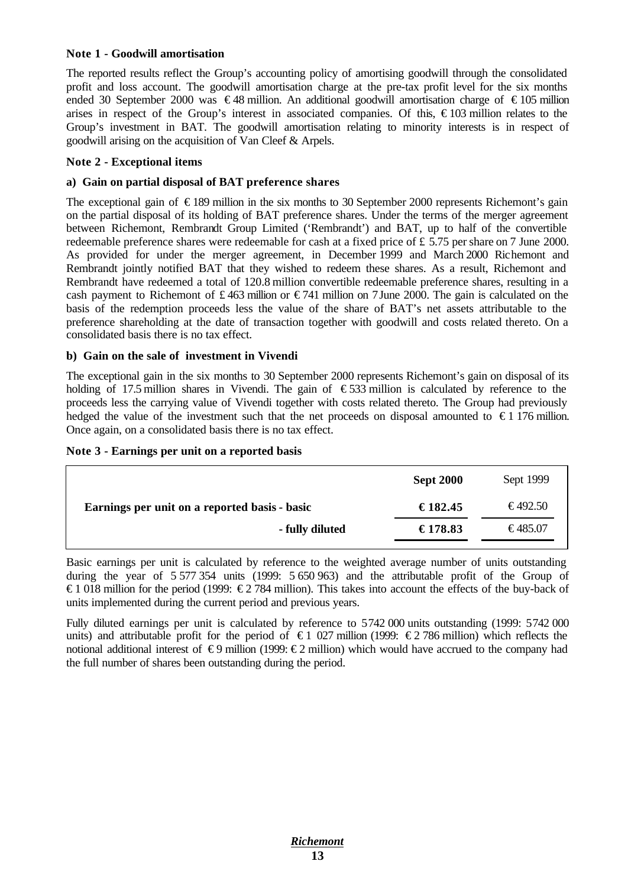#### **Note 1 - Goodwill amortisation**

The reported results reflect the Group's accounting policy of amortising goodwill through the consolidated profit and loss account. The goodwill amortisation charge at the pre-tax profit level for the six months ended 30 September 2000 was  $\epsilon$ 48 million. An additional goodwill amortisation charge of  $\epsilon$ 105 million arises in respect of the Group's interest in associated companies. Of this, € 103 million relates to the Group's investment in BAT. The goodwill amortisation relating to minority interests is in respect of goodwill arising on the acquisition of Van Cleef & Arpels.

#### **Note 2 - Exceptional items**

#### **a) Gain on partial disposal of BAT preference shares**

The exceptional gain of  $\epsilon$ 189 million in the six months to 30 September 2000 represents Richemont's gain on the partial disposal of its holding of BAT preference shares. Under the terms of the merger agreement between Richemont, Rembrandt Group Limited ('Rembrandt') and BAT, up to half of the convertible redeemable preference shares were redeemable for cash at a fixed price of £ 5.75 per share on 7 June 2000. As provided for under the merger agreement, in December 1999 and March 2000 Richemont and Rembrandt jointly notified BAT that they wished to redeem these shares. As a result, Richemont and Rembrandt have redeemed a total of 120.8 million convertible redeemable preference shares, resulting in a cash payment to Richemont of £463 million or  $\epsilon$ 741 million on 7 June 2000. The gain is calculated on the basis of the redemption proceeds less the value of the share of BAT's net assets attributable to the preference shareholding at the date of transaction together with goodwill and costs related thereto. On a consolidated basis there is no tax effect.

#### **b) Gain on the sale of investment in Vivendi**

The exceptional gain in the six months to 30 September 2000 represents Richemont's gain on disposal of its holding of 17.5 million shares in Vivendi. The gain of  $\epsilon$ 533 million is calculated by reference to the proceeds less the carrying value of Vivendi together with costs related thereto. The Group had previously hedged the value of the investment such that the net proceeds on disposal amounted to  $\epsilon$  176 million. Once again, on a consolidated basis there is no tax effect.

|  | Note 3 - Earnings per unit on a reported basis |  |  |  |  |  |
|--|------------------------------------------------|--|--|--|--|--|
|--|------------------------------------------------|--|--|--|--|--|

|                                               | <b>Sept 2000</b> | Sept 1999 |
|-----------------------------------------------|------------------|-----------|
| Earnings per unit on a reported basis - basic | €182.45          | €492.50   |
| - fully diluted                               | €178.83          | €485.07   |

Basic earnings per unit is calculated by reference to the weighted average number of units outstanding during the year of 5 577 354 units (1999: 5 650 963) and the attributable profit of the Group of €1 018 million for the period (1999: €2 784 million). This takes into account the effects of the buy-back of units implemented during the current period and previous years.

Fully diluted earnings per unit is calculated by reference to 5742 000 units outstanding (1999: 5742 000 units) and attributable profit for the period of  $\epsilon$ 1 027 million (1999:  $\epsilon$ 2 786 million) which reflects the notional additional interest of  $\epsilon$ 9 million (1999:  $\epsilon$ 2 million) which would have accrued to the company had the full number of shares been outstanding during the period.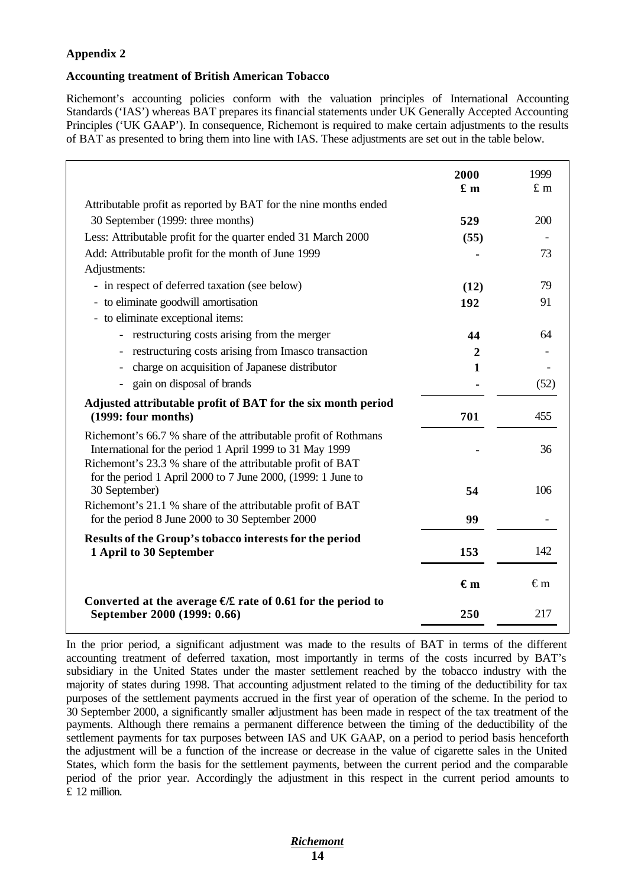### **Appendix 2**

#### **Accounting treatment of British American Tobacco**

Richemont's accounting policies conform with the valuation principles of International Accounting Standards ('IAS') whereas BAT prepares its financial statements under UK Generally Accepted Accounting Principles ('UK GAAP'). In consequence, Richemont is required to make certain adjustments to the results of BAT as presented to bring them into line with IAS. These adjustments are set out in the table below.

|                                                                                                                                                                                                                                                           | 2000<br>$\mathbf{f}$ m | 1999<br>$£$ m |
|-----------------------------------------------------------------------------------------------------------------------------------------------------------------------------------------------------------------------------------------------------------|------------------------|---------------|
| Attributable profit as reported by BAT for the nine months ended                                                                                                                                                                                          |                        |               |
| 30 September (1999: three months)                                                                                                                                                                                                                         | 529                    | 200           |
| Less: Attributable profit for the quarter ended 31 March 2000                                                                                                                                                                                             | (55)                   |               |
| Add: Attributable profit for the month of June 1999                                                                                                                                                                                                       |                        | 73            |
| Adjustments:                                                                                                                                                                                                                                              |                        |               |
| - in respect of deferred taxation (see below)                                                                                                                                                                                                             | (12)                   | 79            |
| - to eliminate goodwill amortisation                                                                                                                                                                                                                      | 192                    | 91            |
| - to eliminate exceptional items:                                                                                                                                                                                                                         |                        |               |
| - restructuring costs arising from the merger                                                                                                                                                                                                             | 44                     | 64            |
| - restructuring costs arising from Imasco transaction                                                                                                                                                                                                     | 2                      |               |
| charge on acquisition of Japanese distributor                                                                                                                                                                                                             | $\mathbf{1}$           |               |
| - gain on disposal of brands                                                                                                                                                                                                                              |                        | (52)          |
| Adjusted attributable profit of BAT for the six month period<br>(1999: four months)                                                                                                                                                                       | 701                    | 455           |
| Richemont's 66.7 % share of the attributable profit of Rothmans<br>International for the period 1 April 1999 to 31 May 1999<br>Richemont's 23.3 % share of the attributable profit of BAT<br>for the period 1 April 2000 to 7 June 2000, (1999: 1 June to |                        | 36            |
| 30 September)                                                                                                                                                                                                                                             | 54                     | 106           |
| Richemont's 21.1 % share of the attributable profit of BAT<br>for the period 8 June 2000 to 30 September 2000                                                                                                                                             | 99                     |               |
| Results of the Group's tobacco interests for the period<br>1 April to 30 September                                                                                                                                                                        | 153                    | 142           |
|                                                                                                                                                                                                                                                           | $\epsilon_{m}$         | €m            |
| Converted at the average $E$ rate of 0.61 for the period to<br>September 2000 (1999: 0.66)                                                                                                                                                                | 250                    | 217           |

In the prior period, a significant adjustment was made to the results of BAT in terms of the different accounting treatment of deferred taxation, most importantly in terms of the costs incurred by BAT's subsidiary in the United States under the master settlement reached by the tobacco industry with the majority of states during 1998. That accounting adjustment related to the timing of the deductibility for tax purposes of the settlement payments accrued in the first year of operation of the scheme. In the period to 30 September 2000, a significantly smaller adjustment has been made in respect of the tax treatment of the payments. Although there remains a permanent difference between the timing of the deductibility of the settlement payments for tax purposes between IAS and UK GAAP, on a period to period basis henceforth the adjustment will be a function of the increase or decrease in the value of cigarette sales in the United States, which form the basis for the settlement payments, between the current period and the comparable period of the prior year. Accordingly the adjustment in this respect in the current period amounts to £ 12 million.